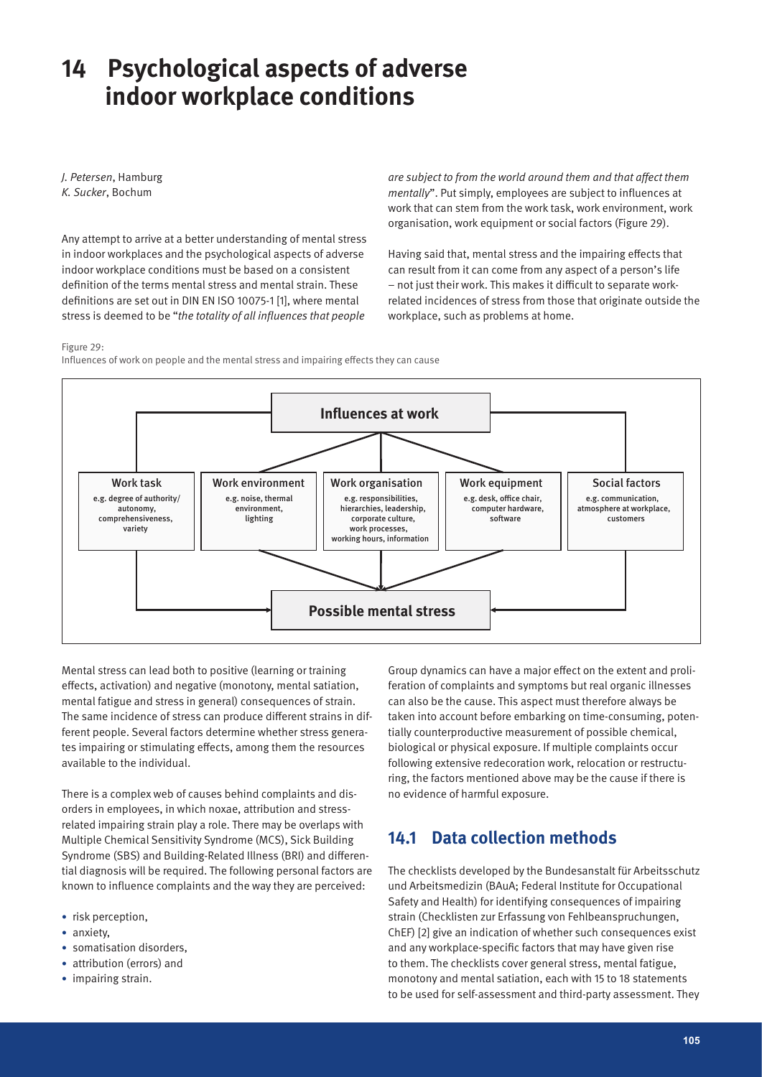# **14 Psychological aspects of adverse indoor workplace conditions**

*J. Petersen*, Hamburg *K. Sucker*, Bochum

Any attempt to arrive at a better understanding of mental stress in indoor workplaces and the psychological aspects of adverse indoor workplace conditions must be based on a consistent definition of the terms mental stress and mental strain. These definitions are set out in DIN EN ISO 10075-1 [1], where mental stress is deemed to be "*the totality of all influences that people* 

*are subject to from the world around them and that affect them mentally*". Put simply, employees are subject to influences at work that can stem from the work task, work environment, work organisation, work equipment or social factors (Figure 29).

Having said that, mental stress and the impairing effects that can result from it can come from any aspect of a person's life – not just their work. This makes it difficult to separate workrelated incidences of stress from those that originate outside the workplace, such as problems at home.

#### Figure 29:

Influences of work on people and the mental stress and impairing effects they can cause



Mental stress can lead both to positive (learning or training effects, activation) and negative (monotony, mental satiation, mental fatigue and stress in general) consequences of strain. The same incidence of stress can produce different strains in different people. Several factors determine whether stress generates impairing or stimulating effects, among them the resources available to the individual.

There is a complex web of causes behind complaints and disorders in employees, in which noxae, attribution and stressrelated impairing strain play a role. There may be overlaps with Multiple Chemical Sensitivity Syndrome (MCS), Sick Building Syndrome (SBS) and Building-Related Illness (BRI) and differential diagnosis will be required. The following personal factors are known to influence complaints and the way they are perceived:

- risk perception,
- anxiety.
- somatisation disorders.
- attribution (errors) and
- impairing strain.

Group dynamics can have a major effect on the extent and proliferation of complaints and symptoms but real organic illnesses can also be the cause. This aspect must therefore always be taken into account before embarking on time-consuming, potentially counterproductive measurement of possible chemical, biological or physical exposure. If multiple complaints occur following extensive redecoration work, relocation or restructuring, the factors mentioned above may be the cause if there is no evidence of harmful exposure.

# **14.1 Data collection methods**

The checklists developed by the Bundesanstalt für Arbeitsschutz und Arbeitsmedizin (BAuA; Federal Institute for Occupational Safety and Health) for identifying consequences of impairing strain (Checklisten zur Erfassung von Fehlbeanspruchungen, ChEF) [2] give an indication of whether such consequences exist and any workplace-specific factors that may have given rise to them. The checklists cover general stress, mental fatigue, monotony and mental satiation, each with 15 to 18 statements to be used for self-assessment and third-party assessment. They